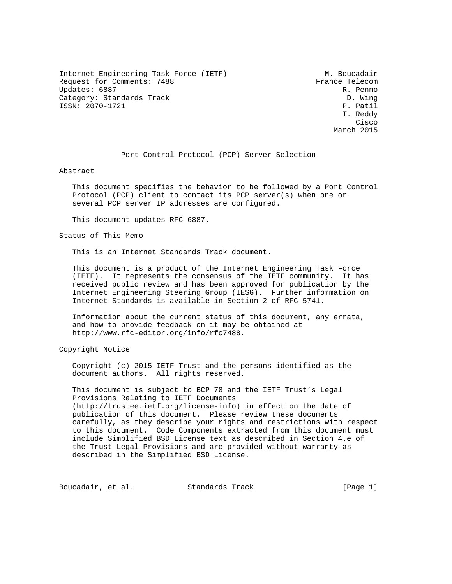Internet Engineering Task Force (IETF) M. Boucadair Request for Comments: 7488 France Telecom<br>Updates: 6887 R. Penno Updates: 6887<br>Category: Standards Track Category: D. Wing Category: Standards Track ISSN: 2070-1721 P. Patil

 T. Reddy **Cisco de la contrata de la contrata de la contrata de la contrata de la contrata de la contrata de la contrat** March 2015

## Port Control Protocol (PCP) Server Selection

Abstract

 This document specifies the behavior to be followed by a Port Control Protocol (PCP) client to contact its PCP server(s) when one or several PCP server IP addresses are configured.

This document updates RFC 6887.

Status of This Memo

This is an Internet Standards Track document.

 This document is a product of the Internet Engineering Task Force (IETF). It represents the consensus of the IETF community. It has received public review and has been approved for publication by the Internet Engineering Steering Group (IESG). Further information on Internet Standards is available in Section 2 of RFC 5741.

 Information about the current status of this document, any errata, and how to provide feedback on it may be obtained at http://www.rfc-editor.org/info/rfc7488.

Copyright Notice

 Copyright (c) 2015 IETF Trust and the persons identified as the document authors. All rights reserved.

 This document is subject to BCP 78 and the IETF Trust's Legal Provisions Relating to IETF Documents (http://trustee.ietf.org/license-info) in effect on the date of publication of this document. Please review these documents carefully, as they describe your rights and restrictions with respect to this document. Code Components extracted from this document must include Simplified BSD License text as described in Section 4.e of the Trust Legal Provisions and are provided without warranty as described in the Simplified BSD License.

Boucadair, et al. Standards Track [Page 1]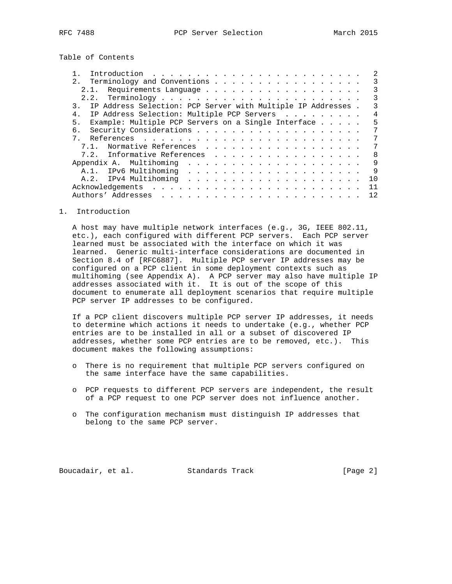Table of Contents

| 2. Terminology and Conventions                                                 |  | 3   |
|--------------------------------------------------------------------------------|--|-----|
| 2.1. Requirements Language                                                     |  | 3   |
|                                                                                |  | 3   |
| IP Address Selection: PCP Server with Multiple IP Addresses .<br>$\mathcal{R}$ |  | 3   |
| IP Address Selection: Multiple PCP Servers<br>4.                               |  | 4   |
| Example: Multiple PCP Servers on a Single Interface<br>5.                      |  | 5   |
| б.                                                                             |  | 7   |
|                                                                                |  | 7   |
| Normative References<br>7 1                                                    |  | 7   |
| 7.2. Informative References                                                    |  | 8   |
|                                                                                |  | 9   |
| A.1.                                                                           |  | 9   |
|                                                                                |  | 1 Q |
|                                                                                |  | 11  |
|                                                                                |  | 12  |

1. Introduction

 A host may have multiple network interfaces (e.g., 3G, IEEE 802.11, etc.), each configured with different PCP servers. Each PCP server learned must be associated with the interface on which it was learned. Generic multi-interface considerations are documented in Section 8.4 of [RFC6887]. Multiple PCP server IP addresses may be configured on a PCP client in some deployment contexts such as multihoming (see Appendix A). A PCP server may also have multiple IP addresses associated with it. It is out of the scope of this document to enumerate all deployment scenarios that require multiple PCP server IP addresses to be configured.

 If a PCP client discovers multiple PCP server IP addresses, it needs to determine which actions it needs to undertake (e.g., whether PCP entries are to be installed in all or a subset of discovered IP addresses, whether some PCP entries are to be removed, etc.). This document makes the following assumptions:

- o There is no requirement that multiple PCP servers configured on the same interface have the same capabilities.
- o PCP requests to different PCP servers are independent, the result of a PCP request to one PCP server does not influence another.
- o The configuration mechanism must distinguish IP addresses that belong to the same PCP server.

Boucadair, et al. Standards Track [Page 2]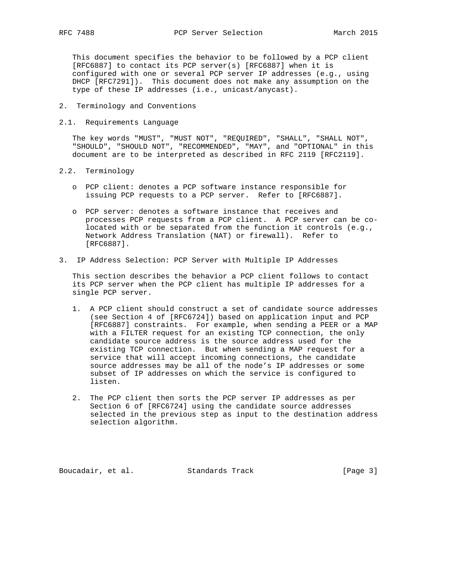This document specifies the behavior to be followed by a PCP client [RFC6887] to contact its PCP server(s) [RFC6887] when it is configured with one or several PCP server IP addresses (e.g., using DHCP [RFC7291]). This document does not make any assumption on the type of these IP addresses (i.e., unicast/anycast).

- 2. Terminology and Conventions
- 2.1. Requirements Language

 The key words "MUST", "MUST NOT", "REQUIRED", "SHALL", "SHALL NOT", "SHOULD", "SHOULD NOT", "RECOMMENDED", "MAY", and "OPTIONAL" in this document are to be interpreted as described in RFC 2119 [RFC2119].

- 2.2. Terminology
	- o PCP client: denotes a PCP software instance responsible for issuing PCP requests to a PCP server. Refer to [RFC6887].
	- o PCP server: denotes a software instance that receives and processes PCP requests from a PCP client. A PCP server can be co located with or be separated from the function it controls (e.g., Network Address Translation (NAT) or firewall). Refer to [RFC6887].
- 3. IP Address Selection: PCP Server with Multiple IP Addresses

 This section describes the behavior a PCP client follows to contact its PCP server when the PCP client has multiple IP addresses for a single PCP server.

- 1. A PCP client should construct a set of candidate source addresses (see Section 4 of [RFC6724]) based on application input and PCP [RFC6887] constraints. For example, when sending a PEER or a MAP with a FILTER request for an existing TCP connection, the only candidate source address is the source address used for the existing TCP connection. But when sending a MAP request for a service that will accept incoming connections, the candidate source addresses may be all of the node's IP addresses or some subset of IP addresses on which the service is configured to listen.
- 2. The PCP client then sorts the PCP server IP addresses as per Section 6 of [RFC6724] using the candidate source addresses selected in the previous step as input to the destination address selection algorithm.

Boucadair, et al. Standards Track [Page 3]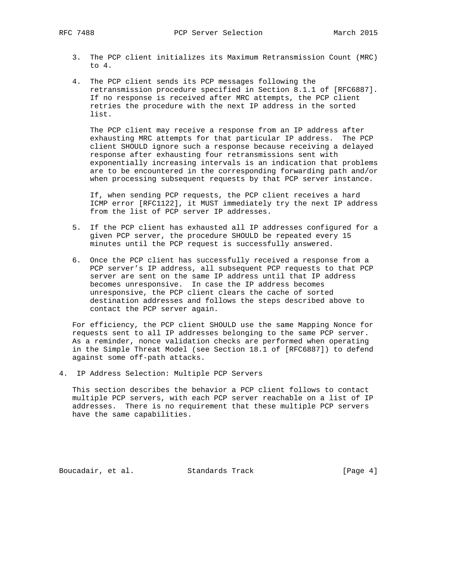- 3. The PCP client initializes its Maximum Retransmission Count (MRC) to 4.
- 4. The PCP client sends its PCP messages following the retransmission procedure specified in Section 8.1.1 of [RFC6887]. If no response is received after MRC attempts, the PCP client retries the procedure with the next IP address in the sorted list.

 The PCP client may receive a response from an IP address after exhausting MRC attempts for that particular IP address. The PCP client SHOULD ignore such a response because receiving a delayed response after exhausting four retransmissions sent with exponentially increasing intervals is an indication that problems are to be encountered in the corresponding forwarding path and/or when processing subsequent requests by that PCP server instance.

 If, when sending PCP requests, the PCP client receives a hard ICMP error [RFC1122], it MUST immediately try the next IP address from the list of PCP server IP addresses.

- 5. If the PCP client has exhausted all IP addresses configured for a given PCP server, the procedure SHOULD be repeated every 15 minutes until the PCP request is successfully answered.
- 6. Once the PCP client has successfully received a response from a PCP server's IP address, all subsequent PCP requests to that PCP server are sent on the same IP address until that IP address becomes unresponsive. In case the IP address becomes unresponsive, the PCP client clears the cache of sorted destination addresses and follows the steps described above to contact the PCP server again.

 For efficiency, the PCP client SHOULD use the same Mapping Nonce for requests sent to all IP addresses belonging to the same PCP server. As a reminder, nonce validation checks are performed when operating in the Simple Threat Model (see Section 18.1 of [RFC6887]) to defend against some off-path attacks.

4. IP Address Selection: Multiple PCP Servers

 This section describes the behavior a PCP client follows to contact multiple PCP servers, with each PCP server reachable on a list of IP addresses. There is no requirement that these multiple PCP servers have the same capabilities.

Boucadair, et al. Standards Track [Page 4]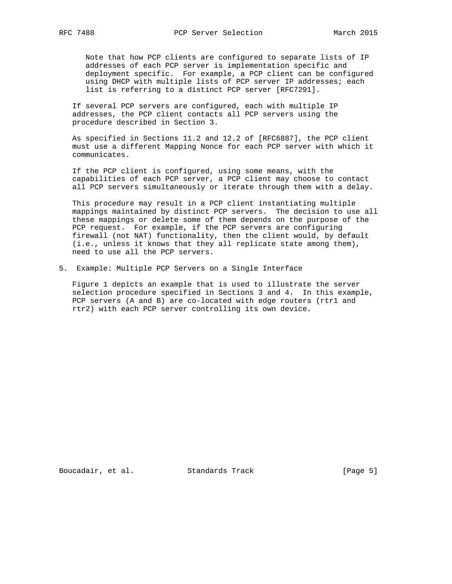Note that how PCP clients are configured to separate lists of IP addresses of each PCP server is implementation specific and deployment specific. For example, a PCP client can be configured using DHCP with multiple lists of PCP server IP addresses; each list is referring to a distinct PCP server [RFC7291].

 If several PCP servers are configured, each with multiple IP addresses, the PCP client contacts all PCP servers using the procedure described in Section 3.

 As specified in Sections 11.2 and 12.2 of [RFC6887], the PCP client must use a different Mapping Nonce for each PCP server with which it communicates.

 If the PCP client is configured, using some means, with the capabilities of each PCP server, a PCP client may choose to contact all PCP servers simultaneously or iterate through them with a delay.

 This procedure may result in a PCP client instantiating multiple mappings maintained by distinct PCP servers. The decision to use all these mappings or delete some of them depends on the purpose of the PCP request. For example, if the PCP servers are configuring firewall (not NAT) functionality, then the client would, by default (i.e., unless it knows that they all replicate state among them), need to use all the PCP servers.

5. Example: Multiple PCP Servers on a Single Interface

 Figure 1 depicts an example that is used to illustrate the server selection procedure specified in Sections 3 and 4. In this example, PCP servers (A and B) are co-located with edge routers (rtrl and rtr2) with each PCP server controlling its own device.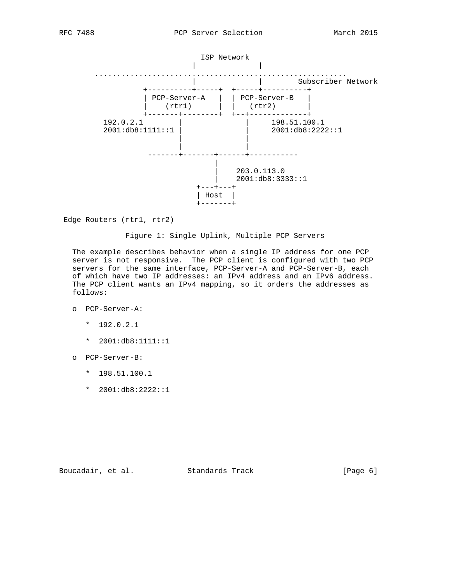

Edge Routers (rtr1, rtr2)

#### Figure 1: Single Uplink, Multiple PCP Servers

 The example describes behavior when a single IP address for one PCP server is not responsive. The PCP client is configured with two PCP servers for the same interface, PCP-Server-A and PCP-Server-B, each of which have two IP addresses: an IPv4 address and an IPv6 address. The PCP client wants an IPv4 mapping, so it orders the addresses as follows:

- o PCP-Server-A:
	- \* 192.0.2.1
	- \* 2001:db8:1111::1
- o PCP-Server-B:
	- \* 198.51.100.1
	- \* 2001:db8:2222::1

Boucadair, et al. Standards Track [Page 6]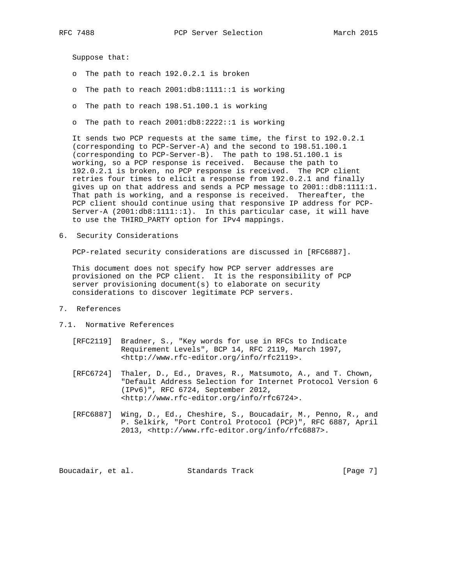Suppose that:

- o The path to reach 192.0.2.1 is broken
- o The path to reach 2001:db8:1111::1 is working
- o The path to reach 198.51.100.1 is working
- o The path to reach 2001:db8:2222::1 is working

 It sends two PCP requests at the same time, the first to 192.0.2.1 (corresponding to PCP-Server-A) and the second to 198.51.100.1 (corresponding to PCP-Server-B). The path to 198.51.100.1 is working, so a PCP response is received. Because the path to 192.0.2.1 is broken, no PCP response is received. The PCP client retries four times to elicit a response from 192.0.2.1 and finally gives up on that address and sends a PCP message to 2001::db8:1111:1. That path is working, and a response is received. Thereafter, the PCP client should continue using that responsive IP address for PCP- Server-A (2001:db8:1111::1). In this particular case, it will have to use the THIRD\_PARTY option for IPv4 mappings.

6. Security Considerations

PCP-related security considerations are discussed in [RFC6887].

 This document does not specify how PCP server addresses are provisioned on the PCP client. It is the responsibility of PCP server provisioning document(s) to elaborate on security considerations to discover legitimate PCP servers.

- 7. References
- 7.1. Normative References
	- [RFC2119] Bradner, S., "Key words for use in RFCs to Indicate Requirement Levels", BCP 14, RFC 2119, March 1997, <http://www.rfc-editor.org/info/rfc2119>.
	- [RFC6724] Thaler, D., Ed., Draves, R., Matsumoto, A., and T. Chown, "Default Address Selection for Internet Protocol Version 6 (IPv6)", RFC 6724, September 2012, <http://www.rfc-editor.org/info/rfc6724>.
	- [RFC6887] Wing, D., Ed., Cheshire, S., Boucadair, M., Penno, R., and P. Selkirk, "Port Control Protocol (PCP)", RFC 6887, April 2013, <http://www.rfc-editor.org/info/rfc6887>.

Boucadair, et al. Standards Track [Page 7]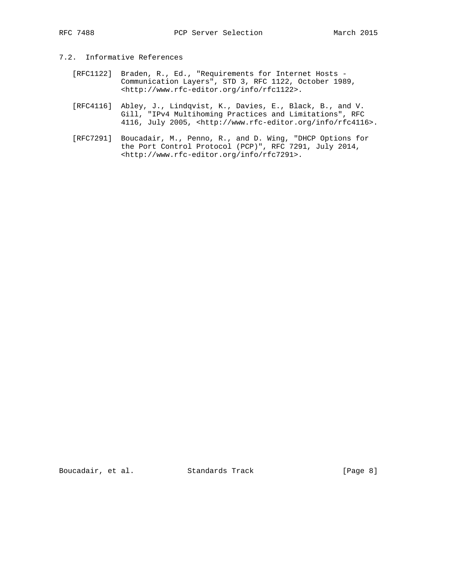## 7.2. Informative References

- [RFC1122] Braden, R., Ed., "Requirements for Internet Hosts Communication Layers", STD 3, RFC 1122, October 1989, <http://www.rfc-editor.org/info/rfc1122>.
- [RFC4116] Abley, J., Lindqvist, K., Davies, E., Black, B., and V. Gill, "IPv4 Multihoming Practices and Limitations", RFC 4116, July 2005, <http://www.rfc-editor.org/info/rfc4116>.
- [RFC7291] Boucadair, M., Penno, R., and D. Wing, "DHCP Options for the Port Control Protocol (PCP)", RFC 7291, July 2014, <http://www.rfc-editor.org/info/rfc7291>.

Boucadair, et al. Standards Track [Page 8]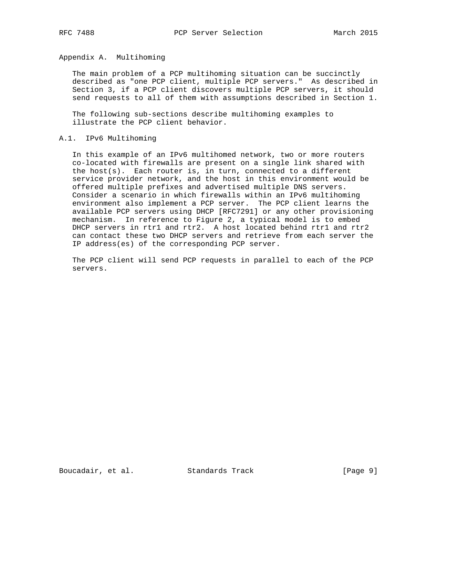## Appendix A. Multihoming

 The main problem of a PCP multihoming situation can be succinctly described as "one PCP client, multiple PCP servers." As described in Section 3, if a PCP client discovers multiple PCP servers, it should send requests to all of them with assumptions described in Section 1.

 The following sub-sections describe multihoming examples to illustrate the PCP client behavior.

#### A.1. IPv6 Multihoming

 In this example of an IPv6 multihomed network, two or more routers co-located with firewalls are present on a single link shared with the host(s). Each router is, in turn, connected to a different service provider network, and the host in this environment would be offered multiple prefixes and advertised multiple DNS servers. Consider a scenario in which firewalls within an IPv6 multihoming environment also implement a PCP server. The PCP client learns the available PCP servers using DHCP [RFC7291] or any other provisioning mechanism. In reference to Figure 2, a typical model is to embed DHCP servers in rtr1 and rtr2. A host located behind rtr1 and rtr2 can contact these two DHCP servers and retrieve from each server the IP address(es) of the corresponding PCP server.

 The PCP client will send PCP requests in parallel to each of the PCP servers.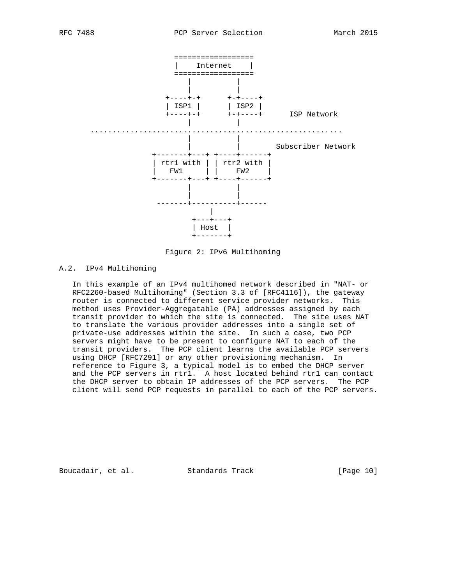

Figure 2: IPv6 Multihoming

# A.2. IPv4 Multihoming

 In this example of an IPv4 multihomed network described in "NAT- or RFC2260-based Multihoming" (Section 3.3 of [RFC4116]), the gateway router is connected to different service provider networks. This method uses Provider-Aggregatable (PA) addresses assigned by each transit provider to which the site is connected. The site uses NAT to translate the various provider addresses into a single set of private-use addresses within the site. In such a case, two PCP servers might have to be present to configure NAT to each of the transit providers. The PCP client learns the available PCP servers using DHCP [RFC7291] or any other provisioning mechanism. In reference to Figure 3, a typical model is to embed the DHCP server and the PCP servers in rtr1. A host located behind rtr1 can contact the DHCP server to obtain IP addresses of the PCP servers. The PCP client will send PCP requests in parallel to each of the PCP servers.

Boucadair, et al. Standards Track [Page 10]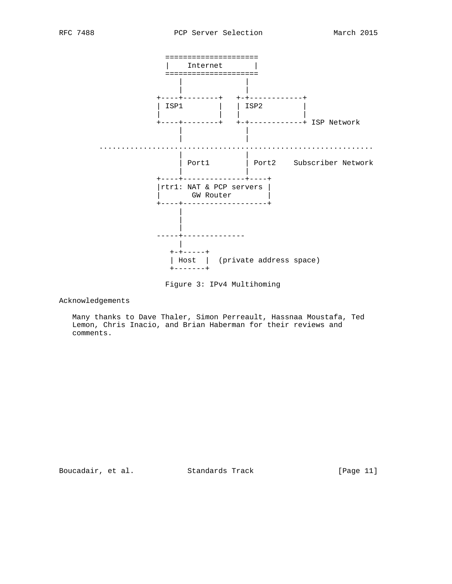

Figure 3: IPv4 Multihoming

Acknowledgements

 Many thanks to Dave Thaler, Simon Perreault, Hassnaa Moustafa, Ted Lemon, Chris Inacio, and Brian Haberman for their reviews and comments.

Boucadair, et al. Standards Track [Page 11]